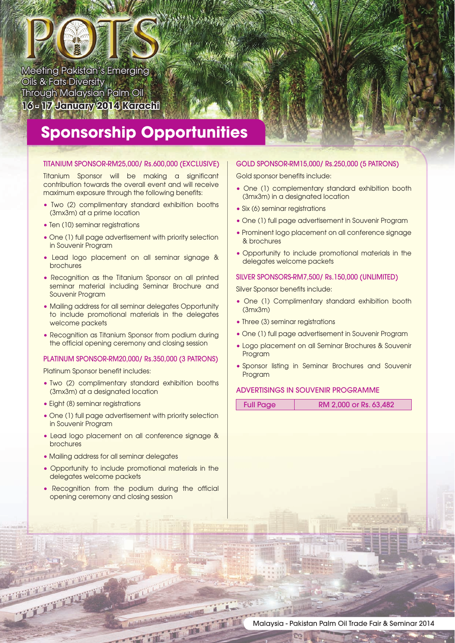## Meeting Pakistan's Emerging Oils & Fats Diversity Through Malaysian Palm Oil **16 - 17 January 2014 Karachi**

# **Sponsorship Opportunities**

**TM**

#### TITANIUM SPONSOR-RM25,000/ Rs.600,000 (EXCLUSIVE)

Titanium Sponsor will be making a significant contribution towards the overall event and will receive maximum exposure through the following benefits:

- Two (2) complimentary standard exhibition booths (3mx3m) at a prime location
- Ten (10) seminar registrations
- One (1) full page advertisement with priority selection in Souvenir Program
- Lead logo placement on all seminar signage & brochures
- Recognition as the Titanium Sponsor on all printed seminar material including Seminar Brochure and Souvenir Program
- Mailing address for all seminar delegates Opportunity to include promotional materials in the delegates welcome packets
- Recognition as Titanium Sponsor from podium during the official opening ceremony and closing session

#### PLATINUM SPONSOR-RM20,000/ Rs.350,000 (3 PATRONS)

Platinum Sponsor benefit includes:

- Two (2) complimentary standard exhibition booths (3mx3m) at a designated location
- Eight (8) seminar registrations

**MARKET CONTROL** 

**PERMIT AND** 

- One (1) full page advertisement with priority selection in Souvenir Program
- Lead logo placement on all conference signage & brochures
- Mailing address for all seminar delegates
- Opportunity to include promotional materials in the delegates welcome packets
- Recognition from the podium during the official opening ceremony and closing session

#### GOLD SPONSOR-RM15,000/ Rs.250,000 (5 PATRONS)

Gold sponsor benefits include:

- One (1) complementary standard exhibition booth (3mx3m) in a designated location
- Six (6) seminar registrations
- One (1) full page advertisement in Souvenir Program
- Prominent logo placement on all conference signage & brochures
- Opportunity to include promotional materials in the delegates welcome packets

#### SILVER SPONSORS-RM7,500/ Rs.150,000 (UNLIMITED)

Silver Sponsor benefits include:

- One (1) Complimentary standard exhibition booth (3mx3m)
- Three (3) seminar registrations
- One (1) full page advertisement in Souvenir Program
- Logo placement on all Seminar Brochures & Souvenir Program
- Sponsor listing in Seminar Brochures and Souvenir Program

#### ADVERTISINGS IN SOUVENIR PROGRAMME

| <b>Full Page</b> | RM 2,000 or Rs. 63,482 |
|------------------|------------------------|
|                  |                        |

TE

Fii

 $\mathbb{Z}$  in